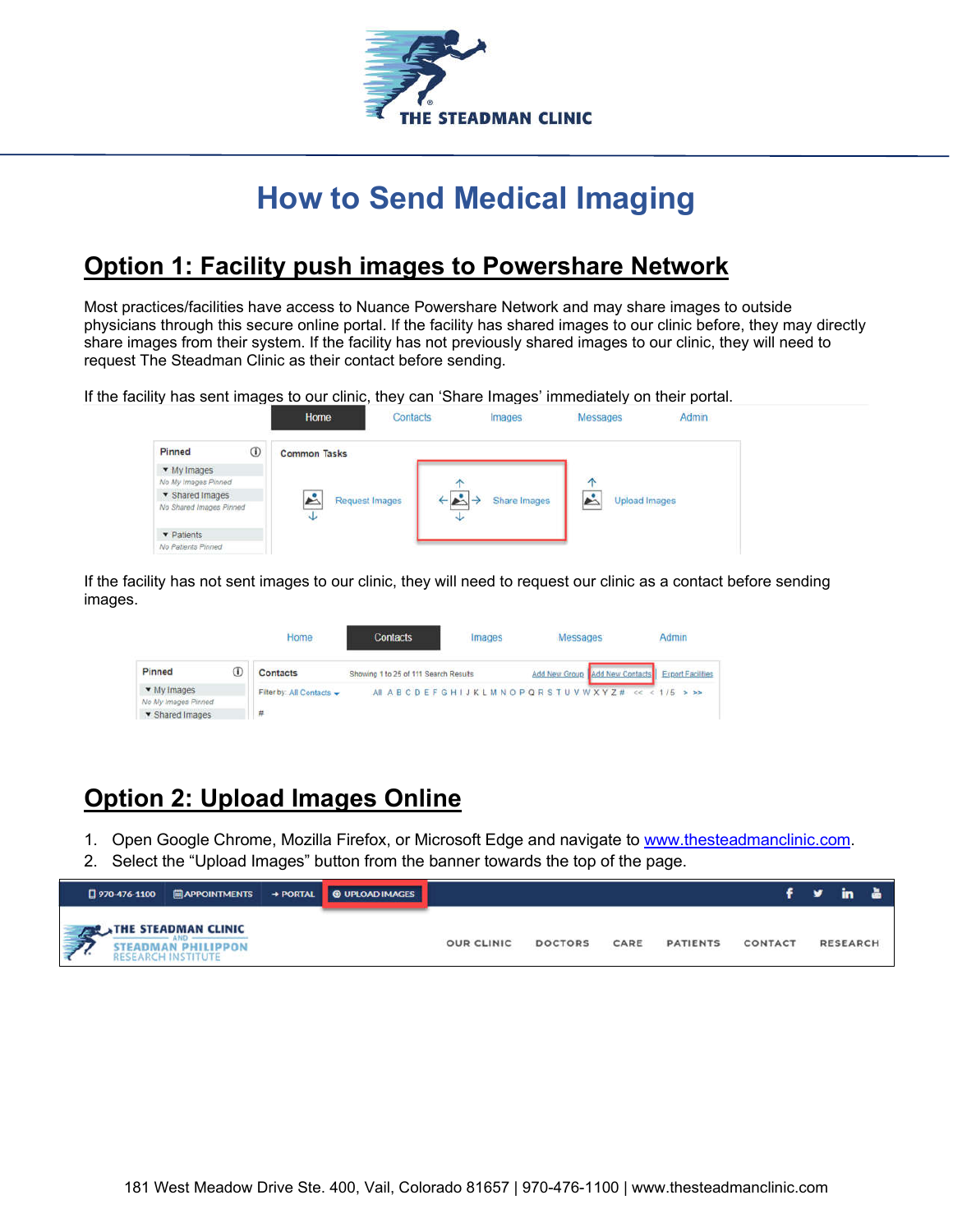

## **How to Send Medical Imaging**

## **Option 1: Facility push images to Powershare Network**

Most practices/facilities have access to Nuance Powershare Network and may share images to outside physicians through this secure online portal. If the facility has shared images to our clinic before, they may directly share images from their system. If the facility has not previously shared images to our clinic, they will need to request The Steadman Clinic as their contact before sending.

If the facility has sent images to our clinic, they can 'Share Images' immediately on their portal.

|                                                   | Home                     | Contacts | Images                        | Messages      | Admin |
|---------------------------------------------------|--------------------------|----------|-------------------------------|---------------|-------|
| $\odot$<br>Pinned                                 | <b>Common Tasks</b>      |          |                               |               |       |
| • My Images<br>No My Images Pinned                |                          |          |                               | 个             |       |
| <b>v</b> Shared Images<br>No Shared Images Pinned | Ŀ<br>Request Images<br>Ψ |          | Share Images<br>$\rightarrow$ | Upload Images |       |
| ▼ Patients<br>No Patients Pinned                  |                          |          |                               |               |       |

If the facility has not sent images to our clinic, they will need to request our clinic as a contact before sending images.

|                        |   | Home                      | <b>Contacts</b>                       | images                                       | Messages |                                                  | Admin |
|------------------------|---|---------------------------|---------------------------------------|----------------------------------------------|----------|--------------------------------------------------|-------|
| Pinned                 | ⊕ | <b>Contacts</b>           | Showing 1 to 25 of 111 Search Results |                                              |          | Add New Group Add New Contacts Export Facilities |       |
| • My Images            |   | Filter by: All Contacts - |                                       | AI ABCDEFGHIJKLMNOPQRSTUVWXYZ# << < 1/5 > >> |          |                                                  |       |
| No My Images Pinned    |   |                           |                                       |                                              |          |                                                  |       |
| <b>v</b> Shared Images |   |                           |                                       |                                              |          |                                                  |       |

## **Option 2: Upload Images Online**

- 1. Open Google Chrome, Mozilla Firefox, or Microsoft Edge and navigate to www.thesteadmanclinic.com.
- 2. Select the "Upload Images" button from the banner towards the top of the page.

|  |                                                                               | [] 970-476-1100   APPOINTMENTS → PORTAL   © UPLOAD IMAGES |                   |                |      |                 |                | f y in a        |  |
|--|-------------------------------------------------------------------------------|-----------------------------------------------------------|-------------------|----------------|------|-----------------|----------------|-----------------|--|
|  | THE STEADMAN CLINIC<br><b>STEADMAN PHILIPPON</b><br><b>RESEARCH INSTITUTE</b> |                                                           | <b>OUR CLINIC</b> | <b>DOCTORS</b> | CARE | <b>PATIENTS</b> | <b>CONTACT</b> | <b>RESEARCH</b> |  |